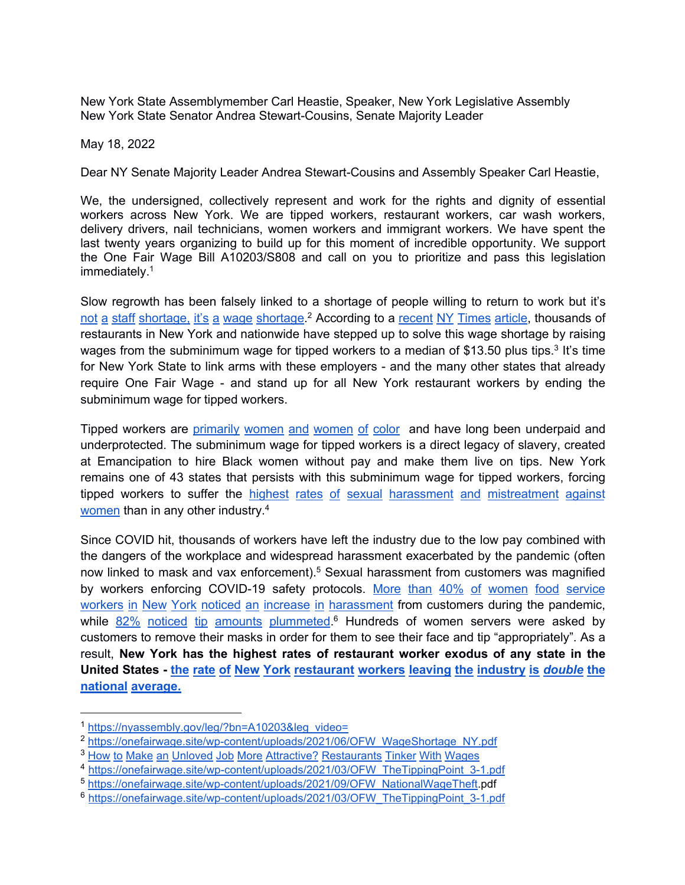New York State Assemblymember Carl Heastie, Speaker, New York Legislative Assembly New York State Senator Andrea Stewart-Cousins, Senate Majority Leader

May 18, 2022

Dear NY Senate Majority Leader Andrea Stewart-Cousins and Assembly Speaker Carl Heastie,

We, the undersigned, collectively represent and work for the rights and dignity of essential workers across New York. We are tipped workers, restaurant workers, car wash workers, delivery drivers, nail technicians, women workers and immigrant workers. We have spent the last twenty years organizing to build up for this moment of incredible opportunity. We support the One Fair Wage Bill A10203/S808 and call on you to prioritize and pass this legislation immediately.[1](#page-0-0)

Slow regrowth has been falsely linked to a shortage of people willing to return to work but it's not a staff [shortage,](https://onefairwage.site/wp-content/uploads/2021/06/OFW_WageShortage_NY.pdf) it's a wage shortage.<sup>[2](#page-0-1)</sup> According to a [recent](https://click.everyaction.com/k/37613965/311850808/201503842?nvep=ew0KICAiVGVuYW50VXJpIjogIm5ncHZhbjovL3Zhbi9UU00vVFNNRUEvMS82ODU1NiIsDQogICJEaXN0cmlidXRpb25VbmlxdWVJZCI6ICJjYWQ5MDNlMi1hYTJlLWVjMTEtOTgxZi1jODk2NjUzYjkyMDgiLA0KICAiRW1haWxBZGRyZXNzIjogImdvbnphbGV6cm9qYXNqQG55YXNzZW1ibHkuZ292Ig0KfQ%3D%3D&hmac=DRXIBqIgChujObbwhXRCunTEOkg8fEIif-3mazPeWQo=&emci=7c302c6c-3f2d-ec11-981f-c896653b9208&emdi=cad903e2-aa2e-ec11-981f-c896653b9208&ceid=6428538) NY Times article, thousands of restaurants in New York and nationwide have stepped up to solve this wage shortage by raising wages from the subminimum wage for tipped workers to a median of \$1[3](#page-0-2).50 plus tips.<sup>3</sup> It's time for New York State to link arms with these employers - and the many other states that already require One Fair Wage - and stand up for all New York restaurant workers by ending the subminimum wage for tipped workers.

Tipped workers are [primarily](https://onefairwage.site/wp-content/uploads/2021/09/OFW_NationalWageTheft_UpdatedPhoto-1.pdf) women and women of color and have long been underpaid and underprotected. The subminimum wage for tipped workers is a direct legacy of slavery, created at Emancipation to hire Black women without pay and make them live on tips. New York remains one of 43 states that persists with this subminimum wage for tipped workers, forcing tipped workers to suffer the highest rates of sexual harassment and [mistreatment](https://onefairwage.site/wp-content/uploads/2021/03/OFW_TheTippingPoint_3-1.pdf) against women than in any other industry.<sup>[4](#page-0-3)</sup>

Since COVID hit, thousands of workers have left the industry due to the low pay combined with the dangers of the workplace and widespread harassment exacerbated by the pandemic (often now linked to mask and vax enforcement).<sup>[5](#page-0-4)</sup> Sexual harassment from customers was magnified by workers enforcing COVID-19 safety protocols. More than 40% of [women](https://onefairwage.site/wp-content/uploads/2021/03/OFW_TheTippingPoint_3-1.pdf) food service workers in New York noticed an increase in harassment from customers during the pandemic, while  $82\%$  noticed tip amounts [plummeted](https://onefairwage.site/wp-content/uploads/2021/06/OFW_WageShortage_NY.pdf).<sup>[6](#page-0-5)</sup> Hundreds of women servers were asked by customers to remove their masks in order for them to see their face and tip "appropriately". As a result, **New York has the highest rates of restaurant worker exodus of any state in the United States - the rate of New York [restaurant](https://onefairwage.site/wp-content/uploads/2021/12/OFW_Closed.pdf) workers leaving the industry is** *[double](https://onefairwage.site/wp-content/uploads/2021/12/OFW_Closed.pdf)* **[the](https://onefairwage.site/wp-content/uploads/2021/12/OFW_Closed.pdf) national average.**

<span id="page-0-0"></span><sup>1</sup> [https://nyassembly.gov/leg/?bn=A10203&leg\\_video=](https://nyassembly.gov/leg/?bn=A10203&leg_video=)

<span id="page-0-1"></span><sup>&</sup>lt;sup>2</sup> [https://onefairwage.site/wp-content/uploads/2021/06/OFW\\_WageShortage\\_NY.pdf](https://onefairwage.site/wp-content/uploads/2021/06/OFW_WageShortage_NY.pdf)

<span id="page-0-2"></span><sup>3</sup> How to Make an Unloved Job More Attractive? [Restaurants](https://www.nytimes.com/2021/09/20/dining/restaurant-wages.html?emci=7c302c6c-3f2d-ec11-981f-c896653b9208&emdi=cad903e2-aa2e-ec11-981f-c896653b9208&ceid=6428538) Tinker With Wages

<span id="page-0-3"></span><sup>&</sup>lt;sup>4</sup> [https://onefairwage.site/wp-content/uploads/2021/03/OFW\\_TheTippingPoint\\_3-1.pdf](https://onefairwage.site/wp-content/uploads/2021/03/OFW_TheTippingPoint_3-1.pdf)

<span id="page-0-4"></span><sup>5</sup> [https://onefairwage.site/wp-content/uploads/2021/09/OFW\\_NationalWageTheft](https://www.google.com/url?q=https://onefairwage.site/wp-content/uploads/2021/09/OFW_NationalWageTheft_UpdatedPhoto-1.pdf&sa=D&source=docs&ust=1652126832695802&usg=AOvVaw1kR4NrTqIS7Qn_O40AOIea).pdf

<span id="page-0-5"></span><sup>&</sup>lt;sup>6</sup> [https://onefairwage.site/wp-content/uploads/2021/03/OFW\\_TheTippingPoint\\_3-1.pdf](https://onefairwage.site/wp-content/uploads/2021/03/OFW_TheTippingPoint_3-1.pdf)